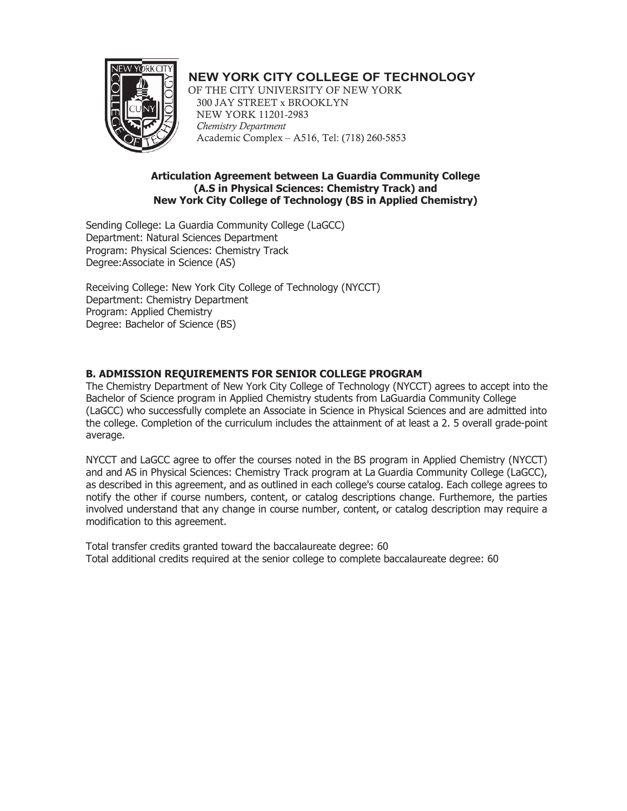

# **NEW YORK CITY COLLEGE OF TECHNOLOGY**

OF THE CITY UNIVERSITY OF NEW YORK 300 JAY STREET x BROOKLYN NEW YORK 11201-2983 *Chemistry Department* Academic Complex – A516, Tel: (718) 260-5853

#### **Articulation Agreement between La Guardia Community College (A.S in Physical Sciences: Chemistry Track) and New York City College of Technology (BS in Applied Chemistry)**

Sending College: La Guardia Community College (LaGCC) Department: Natural Sciences Department Program: Physical Sciences: Chemistry Track Degree:Associate in Science (AS)

Receiving College: New York City College of Technology (NYCCT) Department: Chemistry Department Program: Applied Chemistry Degree: Bachelor of Science (BS)

## **B. ADMISSION REQUIREMENTS FOR SENIOR COLLEGE PROGRAM**

The Chemistry Department of New York City College of Technology (NYCCT) agrees to accept into the Bachelor of Science program in Applied Chemistry students from LaGuardia Community College (LaGCC) who successfully complete an Associate in Science in Physical Sciences and are admitted into the college. Completion of the curriculum includes the attainment of at least a 2. 5 overall grade-point average.

NYCCT and LaGCC agree to offer the courses noted in the BS program in Applied Chemistry (NYCCT) and and AS in Physical Sciences: Chemistry Track program at La Guardia Community College (LaGCC), as described in this agreement, and as outlined in each college's course catalog. Each college agrees to notify the other if course numbers, content, or catalog descriptions change. Furthemore, the parties involved understand that any change in course number, content, or catalog description may require a modification to this agreement.

Total transfer credits granted toward the baccalaureate degree: 60 Total additional credits required at the senior college to complete baccalaureate degree: 60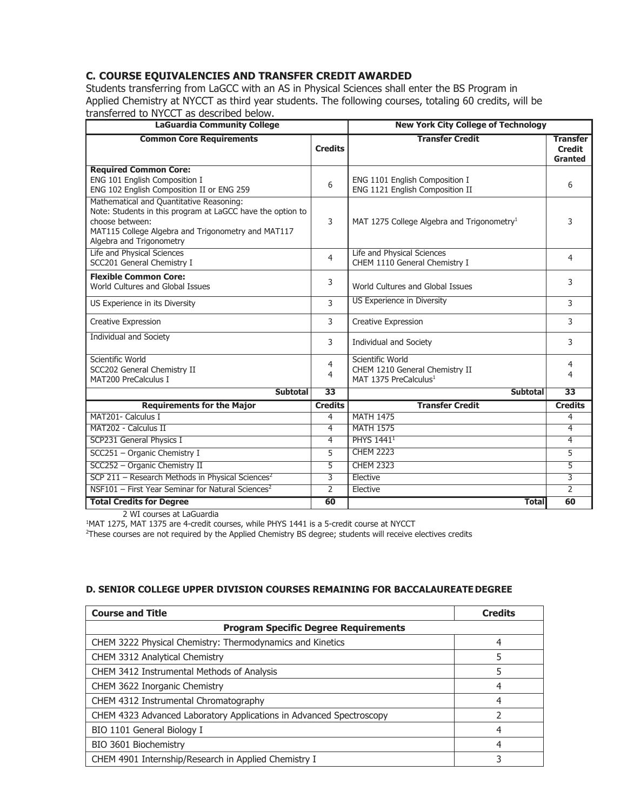### **C. COURSE EQUIVALENCIES AND TRANSFER CREDIT AWARDED**

Students transferring from LaGCC with an AS in Physical Sciences shall enter the BS Program in Applied Chemistry at NYCCT as third year students. The following courses, totaling 60 credits, will be transferred to NYCCT as described below.

| <b>LaGuardia Community College</b>                                                                                                                                                                          |                     | <b>New York City College of Technology</b>                                              |                                                    |
|-------------------------------------------------------------------------------------------------------------------------------------------------------------------------------------------------------------|---------------------|-----------------------------------------------------------------------------------------|----------------------------------------------------|
| <b>Common Core Requirements</b>                                                                                                                                                                             | <b>Credits</b>      | <b>Transfer Credit</b>                                                                  | <b>Transfer</b><br><b>Credit</b><br><b>Granted</b> |
| <b>Required Common Core:</b><br>ENG 101 English Composition I<br>ENG 102 English Composition II or ENG 259                                                                                                  | 6                   | ENG 1101 English Composition I<br>ENG 1121 English Composition II                       | 6                                                  |
| Mathematical and Quantitative Reasoning:<br>Note: Students in this program at LaGCC have the option to<br>choose between:<br>MAT115 College Algebra and Trigonometry and MAT117<br>Algebra and Trigonometry | 3                   | MAT 1275 College Algebra and Trigonometry <sup>1</sup>                                  | 3                                                  |
| Life and Physical Sciences<br>SCC201 General Chemistry I                                                                                                                                                    | $\overline{4}$      | Life and Physical Sciences<br>CHEM 1110 General Chemistry I                             | 4                                                  |
| <b>Flexible Common Core:</b><br>World Cultures and Global Issues                                                                                                                                            | 3                   | World Cultures and Global Issues                                                        | 3                                                  |
| US Experience in its Diversity                                                                                                                                                                              | 3                   | US Experience in Diversity                                                              | 3                                                  |
| <b>Creative Expression</b>                                                                                                                                                                                  | 3                   | Creative Expression                                                                     | 3                                                  |
| Individual and Society                                                                                                                                                                                      | 3                   | <b>Individual and Society</b>                                                           | 3                                                  |
| Scientific World<br>SCC202 General Chemistry II<br>MAT200 PreCalculus I                                                                                                                                     | $\overline{4}$<br>4 | Scientific World<br>CHEM 1210 General Chemistry II<br>MAT 1375 PreCalculus <sup>1</sup> | 4<br>4                                             |
| <b>Subtotal</b>                                                                                                                                                                                             | $\overline{33}$     | <b>Subtotal</b>                                                                         | 33                                                 |
| <b>Requirements for the Major</b>                                                                                                                                                                           | <b>Credits</b>      | <b>Transfer Credit</b>                                                                  | <b>Credits</b>                                     |
| MAT201- Calculus I                                                                                                                                                                                          | $\overline{4}$      | <b>MATH 1475</b>                                                                        | 4                                                  |
| MAT202 - Calculus II                                                                                                                                                                                        | $\overline{4}$      | <b>MATH 1575</b>                                                                        | 4                                                  |
| SCP231 General Physics I                                                                                                                                                                                    | $\overline{4}$      | <b>PHYS 14411</b>                                                                       | 4                                                  |
| SCC251 - Organic Chemistry I                                                                                                                                                                                | 5                   | <b>CHEM 2223</b>                                                                        | 5                                                  |
| SCC252 - Organic Chemistry II                                                                                                                                                                               | 5                   | <b>CHEM 2323</b>                                                                        | $\overline{5}$                                     |
| SCP 211 - Research Methods in Physical Sciences <sup>2</sup>                                                                                                                                                | 3                   | Elective                                                                                | 3                                                  |
| NSF101 - First Year Seminar for Natural Sciences <sup>2</sup>                                                                                                                                               | $\overline{2}$      | Elective                                                                                | 2                                                  |
| <b>Total Credits for Degree</b>                                                                                                                                                                             | 60                  | <b>Total</b>                                                                            | 60                                                 |

2 WI courses at LaGuardia

<sup>1</sup>MAT 1275, MAT 1375 are 4-credit courses, while PHYS 1441 is a 5-credit course at NYCCT

2 These courses are not required by the Applied Chemistry BS degree; students will receive electives credits

#### **D. SENIOR COLLEGE UPPER DIVISION COURSES REMAINING FOR BACCALAUREATEDEGREE**

| <b>Course and Title</b>                                             | <b>Credits</b> |  |
|---------------------------------------------------------------------|----------------|--|
| <b>Program Specific Degree Requirements</b>                         |                |  |
| CHEM 3222 Physical Chemistry: Thermodynamics and Kinetics           | 4              |  |
| CHEM 3312 Analytical Chemistry                                      | 5              |  |
| CHEM 3412 Instrumental Methods of Analysis                          | 5              |  |
| CHEM 3622 Inorganic Chemistry                                       | 4              |  |
| CHEM 4312 Instrumental Chromatography                               | 4              |  |
| CHEM 4323 Advanced Laboratory Applications in Advanced Spectroscopy |                |  |
| BIO 1101 General Biology I                                          | 4              |  |
| BIO 3601 Biochemistry                                               | 4              |  |
| CHEM 4901 Internship/Research in Applied Chemistry I                |                |  |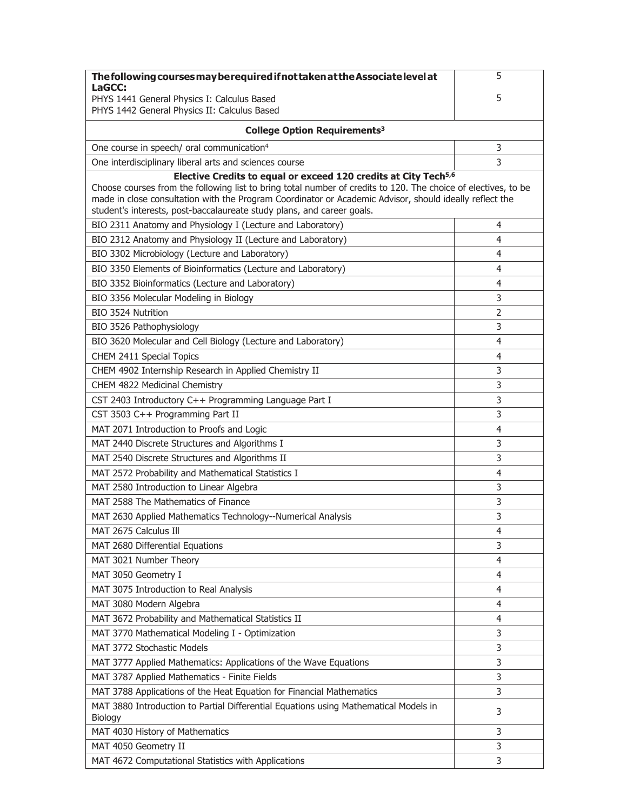| The following courses may be required if not taken at the Associate level at                                                                                                                                                                                                                                                                                                       | 5              |  |  |  |
|------------------------------------------------------------------------------------------------------------------------------------------------------------------------------------------------------------------------------------------------------------------------------------------------------------------------------------------------------------------------------------|----------------|--|--|--|
| LaGCC:<br>PHYS 1441 General Physics I: Calculus Based                                                                                                                                                                                                                                                                                                                              | 5              |  |  |  |
| PHYS 1442 General Physics II: Calculus Based                                                                                                                                                                                                                                                                                                                                       |                |  |  |  |
|                                                                                                                                                                                                                                                                                                                                                                                    |                |  |  |  |
| College Option Requirements <sup>3</sup>                                                                                                                                                                                                                                                                                                                                           |                |  |  |  |
| One course in speech/ oral communication <sup>4</sup>                                                                                                                                                                                                                                                                                                                              | 3              |  |  |  |
| One interdisciplinary liberal arts and sciences course                                                                                                                                                                                                                                                                                                                             | 3              |  |  |  |
| Elective Credits to equal or exceed 120 credits at City Tech <sup>5,6</sup><br>Choose courses from the following list to bring total number of credits to 120. The choice of electives, to be<br>made in close consultation with the Program Coordinator or Academic Advisor, should ideally reflect the<br>student's interests, post-baccalaureate study plans, and career goals. |                |  |  |  |
| BIO 2311 Anatomy and Physiology I (Lecture and Laboratory)                                                                                                                                                                                                                                                                                                                         | 4              |  |  |  |
| BIO 2312 Anatomy and Physiology II (Lecture and Laboratory)                                                                                                                                                                                                                                                                                                                        | 4              |  |  |  |
| BIO 3302 Microbiology (Lecture and Laboratory)                                                                                                                                                                                                                                                                                                                                     | $\overline{4}$ |  |  |  |
| BIO 3350 Elements of Bioinformatics (Lecture and Laboratory)                                                                                                                                                                                                                                                                                                                       | $\overline{4}$ |  |  |  |
| BIO 3352 Bioinformatics (Lecture and Laboratory)                                                                                                                                                                                                                                                                                                                                   | $\overline{4}$ |  |  |  |
| BIO 3356 Molecular Modeling in Biology                                                                                                                                                                                                                                                                                                                                             | 3              |  |  |  |
| BIO 3524 Nutrition                                                                                                                                                                                                                                                                                                                                                                 | 2              |  |  |  |
| BIO 3526 Pathophysiology                                                                                                                                                                                                                                                                                                                                                           | 3              |  |  |  |
| BIO 3620 Molecular and Cell Biology (Lecture and Laboratory)                                                                                                                                                                                                                                                                                                                       | $\overline{4}$ |  |  |  |
| CHEM 2411 Special Topics                                                                                                                                                                                                                                                                                                                                                           | 4              |  |  |  |
| CHEM 4902 Internship Research in Applied Chemistry II                                                                                                                                                                                                                                                                                                                              | 3              |  |  |  |
| CHEM 4822 Medicinal Chemistry                                                                                                                                                                                                                                                                                                                                                      | 3              |  |  |  |
| CST 2403 Introductory C++ Programming Language Part I                                                                                                                                                                                                                                                                                                                              | 3              |  |  |  |
| CST 3503 C++ Programming Part II                                                                                                                                                                                                                                                                                                                                                   | 3              |  |  |  |
| MAT 2071 Introduction to Proofs and Logic                                                                                                                                                                                                                                                                                                                                          | 4              |  |  |  |
| MAT 2440 Discrete Structures and Algorithms I                                                                                                                                                                                                                                                                                                                                      | 3              |  |  |  |
| MAT 2540 Discrete Structures and Algorithms II                                                                                                                                                                                                                                                                                                                                     | 3              |  |  |  |
| MAT 2572 Probability and Mathematical Statistics I                                                                                                                                                                                                                                                                                                                                 | 4              |  |  |  |
| MAT 2580 Introduction to Linear Algebra                                                                                                                                                                                                                                                                                                                                            | 3              |  |  |  |
| MAT 2588 The Mathematics of Finance                                                                                                                                                                                                                                                                                                                                                | 3              |  |  |  |
| MAT 2630 Applied Mathematics Technology--Numerical Analysis                                                                                                                                                                                                                                                                                                                        | 3              |  |  |  |
| MAT 2675 Calculus Ill                                                                                                                                                                                                                                                                                                                                                              | 4              |  |  |  |
| MAT 2680 Differential Equations                                                                                                                                                                                                                                                                                                                                                    | 3              |  |  |  |
| MAT 3021 Number Theory                                                                                                                                                                                                                                                                                                                                                             | $\overline{4}$ |  |  |  |
| MAT 3050 Geometry I                                                                                                                                                                                                                                                                                                                                                                | 4              |  |  |  |
| MAT 3075 Introduction to Real Analysis                                                                                                                                                                                                                                                                                                                                             | 4              |  |  |  |
| MAT 3080 Modern Algebra                                                                                                                                                                                                                                                                                                                                                            | 4              |  |  |  |
| MAT 3672 Probability and Mathematical Statistics II                                                                                                                                                                                                                                                                                                                                | 4              |  |  |  |
| MAT 3770 Mathematical Modeling I - Optimization                                                                                                                                                                                                                                                                                                                                    | 3              |  |  |  |
| MAT 3772 Stochastic Models                                                                                                                                                                                                                                                                                                                                                         | 3              |  |  |  |
| MAT 3777 Applied Mathematics: Applications of the Wave Equations                                                                                                                                                                                                                                                                                                                   | 3              |  |  |  |
| MAT 3787 Applied Mathematics - Finite Fields                                                                                                                                                                                                                                                                                                                                       | 3              |  |  |  |
| MAT 3788 Applications of the Heat Equation for Financial Mathematics                                                                                                                                                                                                                                                                                                               | 3              |  |  |  |
| MAT 3880 Introduction to Partial Differential Equations using Mathematical Models in                                                                                                                                                                                                                                                                                               |                |  |  |  |
| Biology                                                                                                                                                                                                                                                                                                                                                                            | 3              |  |  |  |
| MAT 4030 History of Mathematics                                                                                                                                                                                                                                                                                                                                                    | 3              |  |  |  |
| MAT 4050 Geometry II                                                                                                                                                                                                                                                                                                                                                               | 3              |  |  |  |
| MAT 4672 Computational Statistics with Applications                                                                                                                                                                                                                                                                                                                                | 3              |  |  |  |